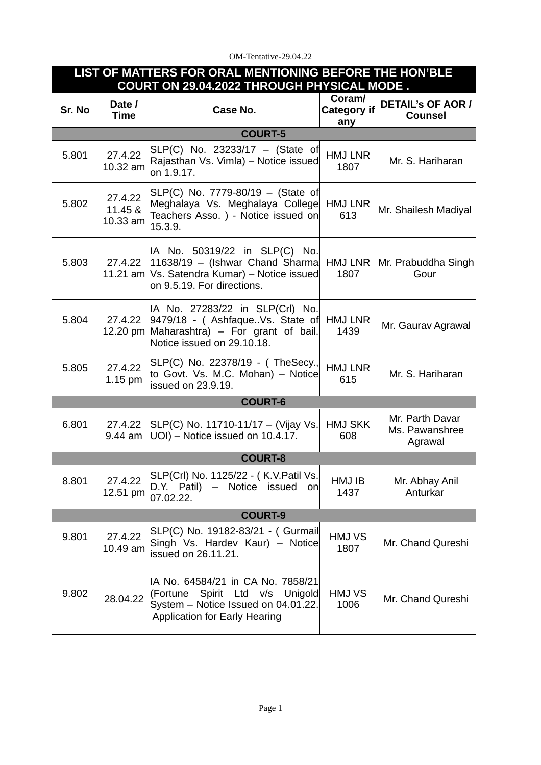## OM-Tentative-29.04.22

| LIST OF MATTERS FOR ORAL MENTIONING BEFORE THE HON'BLE<br>COURT ON 29.04.2022 THROUGH PHYSICAL MODE. |                                |                                                                                                                                                              |                                     |                                              |  |  |  |  |
|------------------------------------------------------------------------------------------------------|--------------------------------|--------------------------------------------------------------------------------------------------------------------------------------------------------------|-------------------------------------|----------------------------------------------|--|--|--|--|
| Sr. No                                                                                               | Date /<br><b>Time</b>          | Case No.                                                                                                                                                     | Coram/<br><b>Category if</b><br>any | <b>DETAIL'S OF AOR /</b><br><b>Counsel</b>   |  |  |  |  |
| <b>COURT-5</b>                                                                                       |                                |                                                                                                                                                              |                                     |                                              |  |  |  |  |
| 5.801                                                                                                | 27.4.22<br>10.32 am            | SLP(C) No. 23233/17 - (State of<br>Rajasthan Vs. Vimla) - Notice issued<br>on 1.9.17.                                                                        | <b>HMJ LNR</b><br>1807              | Mr. S. Hariharan                             |  |  |  |  |
| 5.802                                                                                                | 27.4.22<br>11.45 &<br>10.33 am | SLP(C) No. 7779-80/19 - (State of<br>Meghalaya Vs. Meghalaya College<br>Teachers Asso. ) - Notice issued on<br>15.3.9.                                       | <b>HMJ LNR</b><br>613               | Mr. Shailesh Madiyal                         |  |  |  |  |
| 5.803                                                                                                | 27.4.22                        | IA No. 50319/22 in SLP(C) No.<br>$ 11638/19 - (Ishwar Chand Sharma)$ HMJ LNR<br>11.21 am   Vs. Satendra Kumar) - Notice issued<br>on 9.5.19. For directions. | 1807                                | Mr. Prabuddha Singh<br>Gour                  |  |  |  |  |
| 5.804                                                                                                | 27.4.22                        | IA No. 27283/22 in SLP(Crl) No.<br>9479/18 - (AshfaqueVs. State of<br>12.20 pm Maharashtra) - For grant of bail.<br>Notice issued on 29.10.18.               | <b>HMJ LNR</b><br>1439              | Mr. Gaurav Agrawal                           |  |  |  |  |
| 5.805                                                                                                | 27.4.22<br>$1.15$ pm           | SLP(C) No. 22378/19 - (TheSecy.,<br>to Govt. Vs. M.C. Mohan) - Notice<br>issued on 23.9.19.                                                                  | <b>HMJ LNR</b><br>615               | Mr. S. Hariharan                             |  |  |  |  |
| <b>COURT-6</b>                                                                                       |                                |                                                                                                                                                              |                                     |                                              |  |  |  |  |
| 6.801                                                                                                | 27.4.22<br>9.44 am             | SLP(C) No. 11710-11/17 - (Vijay Vs.<br>$ UO$ ) – Notice issued on 10.4.17.                                                                                   | <b>HMJ SKK</b><br>608               | Mr. Parth Davar<br>Ms. Pawanshree<br>Agrawal |  |  |  |  |
| <b>COURT-8</b>                                                                                       |                                |                                                                                                                                                              |                                     |                                              |  |  |  |  |
| 8.801                                                                                                | 27.4.22<br>12.51 pm            | SLP(Crl) No. 1125/22 - (K.V.Patil Vs.<br>D.Y. Patil) - Notice issued on<br>07.02.22.                                                                         | HMJ IB<br>1437                      | Mr. Abhay Anil<br>Anturkar                   |  |  |  |  |
| <b>COURT-9</b>                                                                                       |                                |                                                                                                                                                              |                                     |                                              |  |  |  |  |
| 9.801                                                                                                | 27.4.22<br>10.49 am            | SLP(C) No. 19182-83/21 - (Gurmail<br>Singh Vs. Hardev Kaur) - Notice<br>issued on 26.11.21.                                                                  | HMJ VS<br>1807                      | Mr. Chand Qureshi                            |  |  |  |  |
| 9.802                                                                                                | 28.04.22                       | IA No. 64584/21 in CA No. 7858/21<br>(Fortune Spirit Ltd v/s<br>Unigold<br>System - Notice Issued on 04.01.22.<br><b>Application for Early Hearing</b>       | HMJ VS<br>1006                      | Mr. Chand Qureshi                            |  |  |  |  |